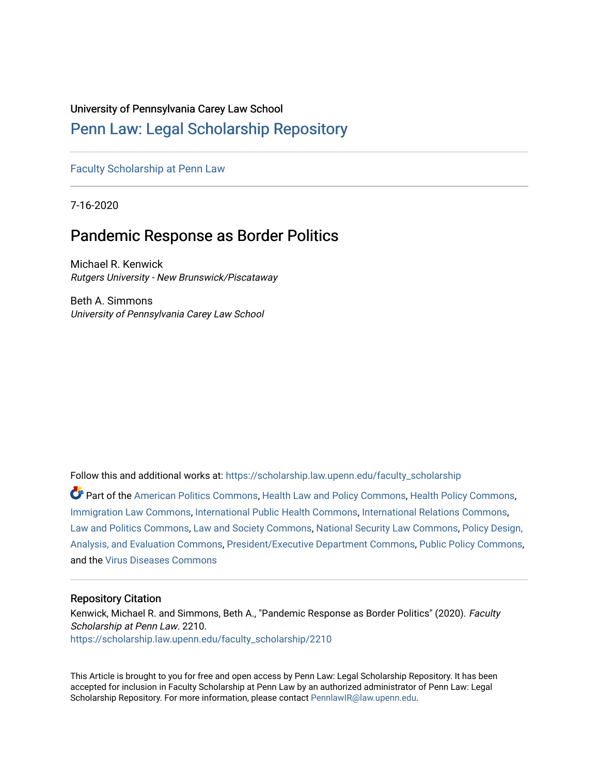# University of Pennsylvania Carey Law School

# [Penn Law: Legal Scholarship Repository](https://scholarship.law.upenn.edu/)

# [Faculty Scholarship at Penn Law](https://scholarship.law.upenn.edu/faculty_scholarship)

7-16-2020

# Pandemic Response as Border Politics

Michael R. Kenwick Rutgers University - New Brunswick/Piscataway

Beth A. Simmons University of Pennsylvania Carey Law School

Follow this and additional works at: [https://scholarship.law.upenn.edu/faculty\\_scholarship](https://scholarship.law.upenn.edu/faculty_scholarship?utm_source=scholarship.law.upenn.edu%2Ffaculty_scholarship%2F2210&utm_medium=PDF&utm_campaign=PDFCoverPages) 

Part of the [American Politics Commons,](http://network.bepress.com/hgg/discipline/387?utm_source=scholarship.law.upenn.edu%2Ffaculty_scholarship%2F2210&utm_medium=PDF&utm_campaign=PDFCoverPages) [Health Law and Policy Commons](http://network.bepress.com/hgg/discipline/901?utm_source=scholarship.law.upenn.edu%2Ffaculty_scholarship%2F2210&utm_medium=PDF&utm_campaign=PDFCoverPages), [Health Policy Commons](http://network.bepress.com/hgg/discipline/395?utm_source=scholarship.law.upenn.edu%2Ffaculty_scholarship%2F2210&utm_medium=PDF&utm_campaign=PDFCoverPages), [Immigration Law Commons](http://network.bepress.com/hgg/discipline/604?utm_source=scholarship.law.upenn.edu%2Ffaculty_scholarship%2F2210&utm_medium=PDF&utm_campaign=PDFCoverPages), [International Public Health Commons,](http://network.bepress.com/hgg/discipline/746?utm_source=scholarship.law.upenn.edu%2Ffaculty_scholarship%2F2210&utm_medium=PDF&utm_campaign=PDFCoverPages) [International Relations Commons,](http://network.bepress.com/hgg/discipline/389?utm_source=scholarship.law.upenn.edu%2Ffaculty_scholarship%2F2210&utm_medium=PDF&utm_campaign=PDFCoverPages) [Law and Politics Commons](http://network.bepress.com/hgg/discipline/867?utm_source=scholarship.law.upenn.edu%2Ffaculty_scholarship%2F2210&utm_medium=PDF&utm_campaign=PDFCoverPages), [Law and Society Commons,](http://network.bepress.com/hgg/discipline/853?utm_source=scholarship.law.upenn.edu%2Ffaculty_scholarship%2F2210&utm_medium=PDF&utm_campaign=PDFCoverPages) [National Security Law Commons](http://network.bepress.com/hgg/discipline/1114?utm_source=scholarship.law.upenn.edu%2Ffaculty_scholarship%2F2210&utm_medium=PDF&utm_campaign=PDFCoverPages), [Policy Design,](http://network.bepress.com/hgg/discipline/1032?utm_source=scholarship.law.upenn.edu%2Ffaculty_scholarship%2F2210&utm_medium=PDF&utm_campaign=PDFCoverPages)  [Analysis, and Evaluation Commons,](http://network.bepress.com/hgg/discipline/1032?utm_source=scholarship.law.upenn.edu%2Ffaculty_scholarship%2F2210&utm_medium=PDF&utm_campaign=PDFCoverPages) [President/Executive Department Commons](http://network.bepress.com/hgg/discipline/1118?utm_source=scholarship.law.upenn.edu%2Ffaculty_scholarship%2F2210&utm_medium=PDF&utm_campaign=PDFCoverPages), [Public Policy Commons](http://network.bepress.com/hgg/discipline/400?utm_source=scholarship.law.upenn.edu%2Ffaculty_scholarship%2F2210&utm_medium=PDF&utm_campaign=PDFCoverPages), and the [Virus Diseases Commons](http://network.bepress.com/hgg/discipline/998?utm_source=scholarship.law.upenn.edu%2Ffaculty_scholarship%2F2210&utm_medium=PDF&utm_campaign=PDFCoverPages) 

## Repository Citation

Kenwick, Michael R. and Simmons, Beth A., "Pandemic Response as Border Politics" (2020). Faculty Scholarship at Penn Law. 2210. [https://scholarship.law.upenn.edu/faculty\\_scholarship/2210](https://scholarship.law.upenn.edu/faculty_scholarship/2210?utm_source=scholarship.law.upenn.edu%2Ffaculty_scholarship%2F2210&utm_medium=PDF&utm_campaign=PDFCoverPages)

This Article is brought to you for free and open access by Penn Law: Legal Scholarship Repository. It has been accepted for inclusion in Faculty Scholarship at Penn Law by an authorized administrator of Penn Law: Legal Scholarship Repository. For more information, please contact [PennlawIR@law.upenn.edu.](mailto:PennlawIR@law.upenn.edu)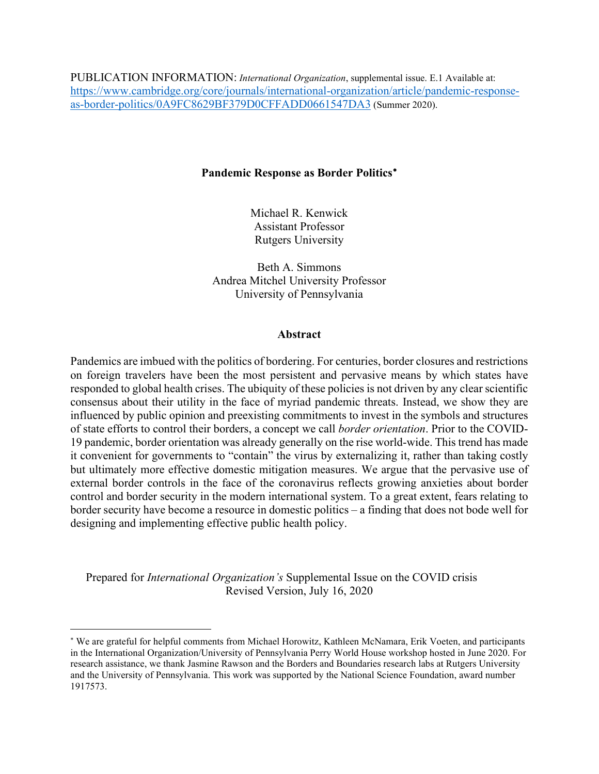PUBLICATION INFORMATION: *International Organization*, supplemental issue. E.1 Available at: [https://www.cambridge.org/core/journals/international-organization/article/pandemic-response](https://www.cambridge.org/core/journals/international-organization/article/pandemic-response-as-border-politics/0A9FC8629BF379D0CFFADD0661547DA3)[as-border-politics/0A9FC8629BF379D0CFFADD0661547DA3](https://www.cambridge.org/core/journals/international-organization/article/pandemic-response-as-border-politics/0A9FC8629BF379D0CFFADD0661547DA3) (Summer 2020).

# **Pandemic Response as Border Politics**[∗](#page-1-0)

Michael R. Kenwick Assistant Professor Rutgers University

Beth A. Simmons Andrea Mitchel University Professor University of Pennsylvania

#### **Abstract**

Pandemics are imbued with the politics of bordering. For centuries, border closures and restrictions on foreign travelers have been the most persistent and pervasive means by which states have responded to global health crises. The ubiquity of these policies is not driven by any clear scientific consensus about their utility in the face of myriad pandemic threats. Instead, we show they are influenced by public opinion and preexisting commitments to invest in the symbols and structures of state efforts to control their borders, a concept we call *border orientation*. Prior to the COVID-19 pandemic, border orientation was already generally on the rise world-wide. This trend has made it convenient for governments to "contain" the virus by externalizing it, rather than taking costly but ultimately more effective domestic mitigation measures. We argue that the pervasive use of external border controls in the face of the coronavirus reflects growing anxieties about border control and border security in the modern international system. To a great extent, fears relating to border security have become a resource in domestic politics – a finding that does not bode well for designing and implementing effective public health policy.

Prepared for *International Organization's* Supplemental Issue on the COVID crisis Revised Version, July 16, 2020

<span id="page-1-0"></span><sup>∗</sup> We are grateful for helpful comments from Michael Horowitz, Kathleen McNamara, Erik Voeten, and participants in the International Organization/University of Pennsylvania Perry World House workshop hosted in June 2020. For research assistance, we thank Jasmine Rawson and the Borders and Boundaries research labs at Rutgers University and the University of Pennsylvania. This work was supported by the National Science Foundation, award number 1917573.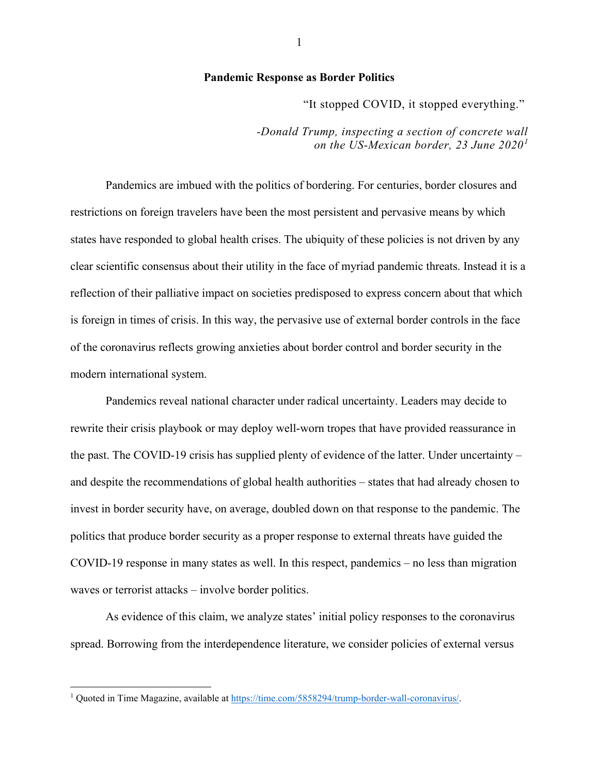## **Pandemic Response as Border Politics**

"It stopped COVID, it stopped everything."

*-Donald Trump, inspecting a section of concrete wall on the US-Mexican border, 23 June 2020[1](#page-2-0)*

Pandemics are imbued with the politics of bordering. For centuries, border closures and restrictions on foreign travelers have been the most persistent and pervasive means by which states have responded to global health crises. The ubiquity of these policies is not driven by any clear scientific consensus about their utility in the face of myriad pandemic threats. Instead it is a reflection of their palliative impact on societies predisposed to express concern about that which is foreign in times of crisis. In this way, the pervasive use of external border controls in the face of the coronavirus reflects growing anxieties about border control and border security in the modern international system.

Pandemics reveal national character under radical uncertainty. Leaders may decide to rewrite their crisis playbook or may deploy well-worn tropes that have provided reassurance in the past. The COVID-19 crisis has supplied plenty of evidence of the latter. Under uncertainty – and despite the recommendations of global health authorities – states that had already chosen to invest in border security have, on average, doubled down on that response to the pandemic. The politics that produce border security as a proper response to external threats have guided the COVID-19 response in many states as well. In this respect, pandemics – no less than migration waves or terrorist attacks – involve border politics.

As evidence of this claim, we analyze states' initial policy responses to the coronavirus spread. Borrowing from the interdependence literature, we consider policies of external versus

<span id="page-2-0"></span><sup>1</sup> Quoted in Time Magazine, available at [https://time.com/5858294/trump-border-wall-coronavirus/.](https://time.com/5858294/trump-border-wall-coronavirus/)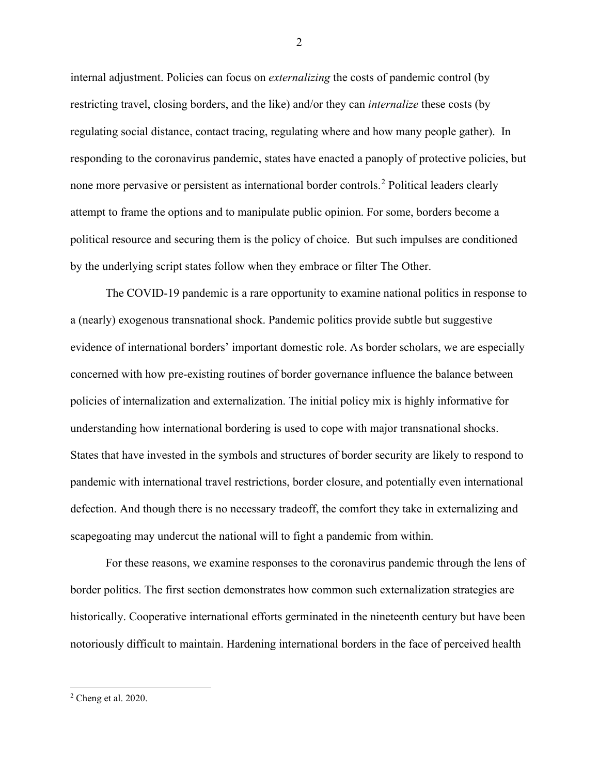internal adjustment. Policies can focus on *externalizing* the costs of pandemic control (by restricting travel, closing borders, and the like) and/or they can *internalize* these costs (by regulating social distance, contact tracing, regulating where and how many people gather). In responding to the coronavirus pandemic, states have enacted a panoply of protective policies, but none more pervasive or persistent as international border controls. [2](#page-3-0) Political leaders clearly attempt to frame the options and to manipulate public opinion. For some, borders become a political resource and securing them is the policy of choice. But such impulses are conditioned by the underlying script states follow when they embrace or filter The Other.

The COVID-19 pandemic is a rare opportunity to examine national politics in response to a (nearly) exogenous transnational shock. Pandemic politics provide subtle but suggestive evidence of international borders' important domestic role. As border scholars, we are especially concerned with how pre-existing routines of border governance influence the balance between policies of internalization and externalization. The initial policy mix is highly informative for understanding how international bordering is used to cope with major transnational shocks. States that have invested in the symbols and structures of border security are likely to respond to pandemic with international travel restrictions, border closure, and potentially even international defection. And though there is no necessary tradeoff, the comfort they take in externalizing and scapegoating may undercut the national will to fight a pandemic from within.

For these reasons, we examine responses to the coronavirus pandemic through the lens of border politics. The first section demonstrates how common such externalization strategies are historically. Cooperative international efforts germinated in the nineteenth century but have been notoriously difficult to maintain. Hardening international borders in the face of perceived health

<span id="page-3-0"></span><sup>2</sup> Cheng et al. 2020.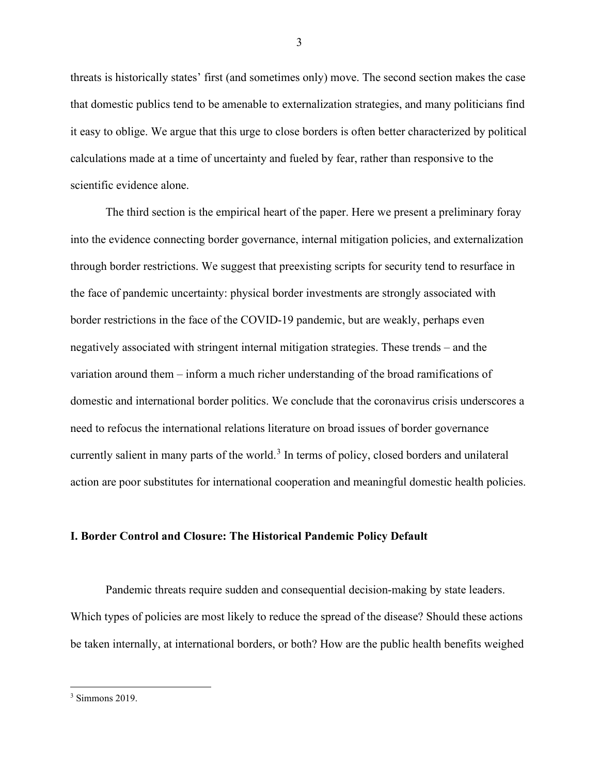threats is historically states' first (and sometimes only) move. The second section makes the case that domestic publics tend to be amenable to externalization strategies, and many politicians find it easy to oblige. We argue that this urge to close borders is often better characterized by political calculations made at a time of uncertainty and fueled by fear, rather than responsive to the scientific evidence alone.

The third section is the empirical heart of the paper. Here we present a preliminary foray into the evidence connecting border governance, internal mitigation policies, and externalization through border restrictions. We suggest that preexisting scripts for security tend to resurface in the face of pandemic uncertainty: physical border investments are strongly associated with border restrictions in the face of the COVID-19 pandemic, but are weakly, perhaps even negatively associated with stringent internal mitigation strategies. These trends – and the variation around them – inform a much richer understanding of the broad ramifications of domestic and international border politics. We conclude that the coronavirus crisis underscores a need to refocus the international relations literature on broad issues of border governance currently salient in many parts of the world.<sup>[3](#page-4-0)</sup> In terms of policy, closed borders and unilateral action are poor substitutes for international cooperation and meaningful domestic health policies.

#### **I. Border Control and Closure: The Historical Pandemic Policy Default**

Pandemic threats require sudden and consequential decision-making by state leaders. Which types of policies are most likely to reduce the spread of the disease? Should these actions be taken internally, at international borders, or both? How are the public health benefits weighed

<span id="page-4-0"></span> $3$  Simmons 2019.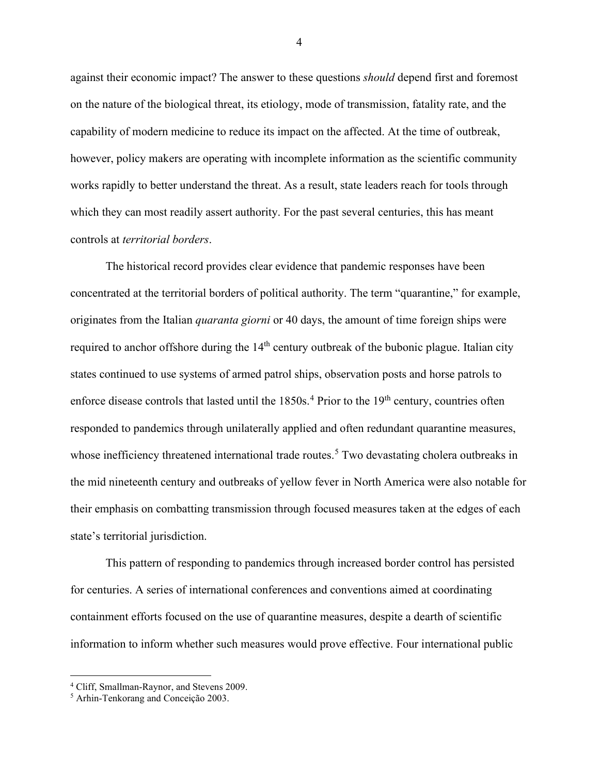against their economic impact? The answer to these questions *should* depend first and foremost on the nature of the biological threat, its etiology, mode of transmission, fatality rate, and the capability of modern medicine to reduce its impact on the affected. At the time of outbreak, however, policy makers are operating with incomplete information as the scientific community works rapidly to better understand the threat. As a result, state leaders reach for tools through which they can most readily assert authority. For the past several centuries, this has meant controls at *territorial borders*.

The historical record provides clear evidence that pandemic responses have been concentrated at the territorial borders of political authority. The term "quarantine," for example, originates from the Italian *quaranta giorni* or 40 days, the amount of time foreign ships were required to anchor offshore during the  $14<sup>th</sup>$  century outbreak of the bubonic plague. Italian city states continued to use systems of armed patrol ships, observation posts and horse patrols to enforce disease controls that lasted until the  $1850s<sup>4</sup>$  $1850s<sup>4</sup>$  $1850s<sup>4</sup>$  Prior to the  $19<sup>th</sup>$  century, countries often responded to pandemics through unilaterally applied and often redundant quarantine measures, whose inefficiency threatened international trade routes.<sup>[5](#page-5-1)</sup> Two devastating cholera outbreaks in the mid nineteenth century and outbreaks of yellow fever in North America were also notable for their emphasis on combatting transmission through focused measures taken at the edges of each state's territorial jurisdiction.

This pattern of responding to pandemics through increased border control has persisted for centuries. A series of international conferences and conventions aimed at coordinating containment efforts focused on the use of quarantine measures, despite a dearth of scientific information to inform whether such measures would prove effective. Four international public

<span id="page-5-0"></span><sup>4</sup> Cliff, Smallman-Raynor, and Stevens 2009.

<span id="page-5-1"></span><sup>5</sup> Arhin-Tenkorang and Conceição 2003.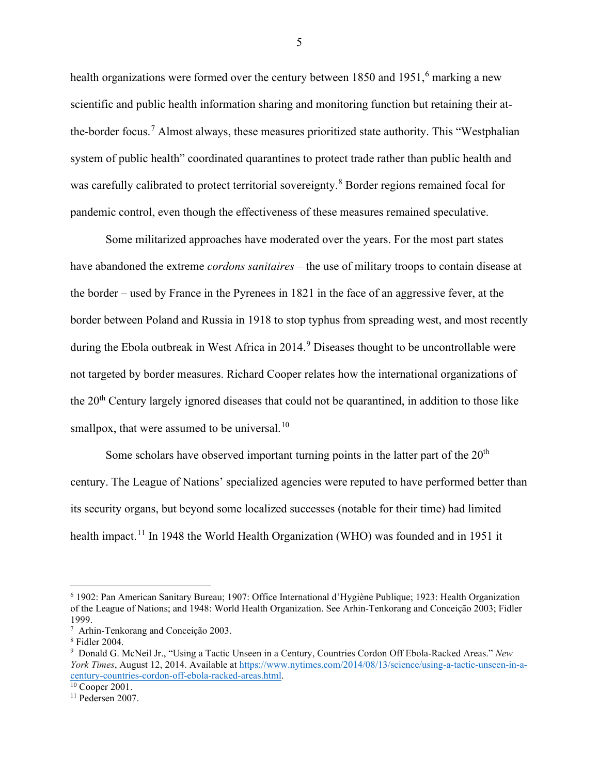health organizations were formed over the century between  $1850$  and  $1951$ ,  $6$  marking a new scientific and public health information sharing and monitoring function but retaining their at-the-border focus.<sup>[7](#page-6-1)</sup> Almost always, these measures prioritized state authority. This "Westphalian" system of public health" coordinated quarantines to protect trade rather than public health and was carefully calibrated to protect territorial sovereignty.<sup>[8](#page-6-2)</sup> Border regions remained focal for pandemic control, even though the effectiveness of these measures remained speculative.

Some militarized approaches have moderated over the years. For the most part states have abandoned the extreme *cordons sanitaires* – the use of military troops to contain disease at the border – used by France in the Pyrenees in 1821 in the face of an aggressive fever, at the border between Poland and Russia in 1918 to stop typhus from spreading west, and most recently during the Ebola outbreak in West Africa in 2014.<sup>[9](#page-6-3)</sup> Diseases thought to be uncontrollable were not targeted by border measures. Richard Cooper relates how the international organizations of the 20th Century largely ignored diseases that could not be quarantined, in addition to those like smallpox, that were assumed to be universal.<sup>[10](#page-6-4)</sup>

Some scholars have observed important turning points in the latter part of the  $20<sup>th</sup>$ century. The League of Nations' specialized agencies were reputed to have performed better than its security organs, but beyond some localized successes (notable for their time) had limited health impact.<sup>[11](#page-6-5)</sup> In 1948 the World Health Organization (WHO) was founded and in 1951 it

<span id="page-6-0"></span><sup>6</sup> 1902: Pan American Sanitary Bureau; 1907: Office International d'Hygiène Publique; 1923: Health Organization of the League of Nations; and 1948: World Health Organization. See Arhin-Tenkorang and Conceição 2003; Fidler 1999.

<span id="page-6-1"></span><sup>7</sup> Arhin-Tenkorang and Conceição 2003.

<span id="page-6-2"></span><sup>8</sup> Fidler 2004.

<span id="page-6-3"></span><sup>9</sup> Donald G. McNeil Jr., "Using a Tactic Unseen in a Century, Countries Cordon Off Ebola-Racked Areas." *New York Times*, August 12, 2014. Available at [https://www.nytimes.com/2014/08/13/science/using-a-tactic-unseen-in-a](https://www.nytimes.com/2014/08/13/science/using-a-tactic-unseen-in-a-century-countries-cordon-off-ebola-racked-areas.html)[century-countries-cordon-off-ebola-racked-areas.html.](https://www.nytimes.com/2014/08/13/science/using-a-tactic-unseen-in-a-century-countries-cordon-off-ebola-racked-areas.html)

<span id="page-6-4"></span> $10$  Cooper 2001.

<span id="page-6-5"></span><sup>11</sup> Pedersen 2007.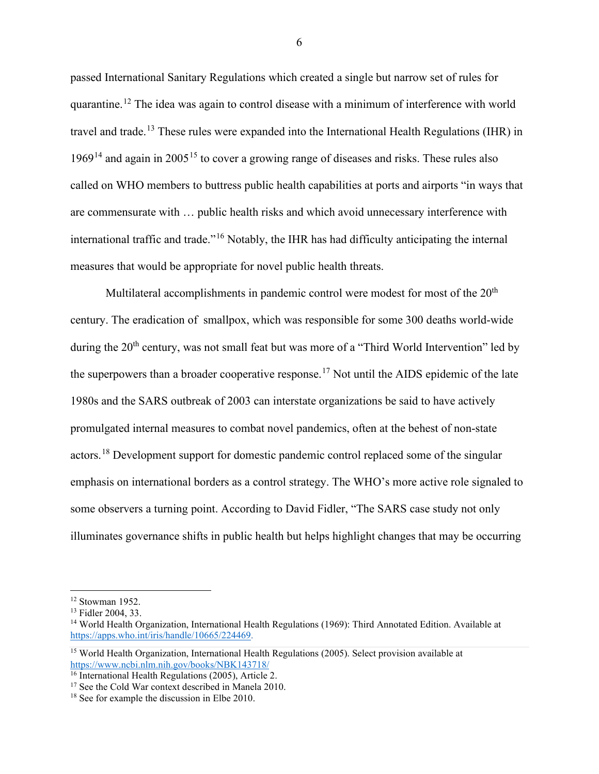passed International Sanitary Regulations which created a single but narrow set of rules for quarantine.<sup>[12](#page-7-0)</sup> The idea was again to control disease with a minimum of interference with world travel and trade.<sup>[13](#page-7-1)</sup> These rules were expanded into the International Health Regulations (IHR) in  $1969<sup>14</sup>$  $1969<sup>14</sup>$  $1969<sup>14</sup>$  and again in 2005<sup>[15](#page-7-3)</sup> to cover a growing range of diseases and risks. These rules also called on WHO members to buttress public health capabilities at ports and airports "in ways that are commensurate with … public health risks and which avoid unnecessary interference with international traffic and trade."[16](#page-7-4) Notably, the IHR has had difficulty anticipating the internal measures that would be appropriate for novel public health threats.

Multilateral accomplishments in pandemic control were modest for most of the  $20<sup>th</sup>$ century. The eradication of smallpox, which was responsible for some 300 deaths world-wide during the 20<sup>th</sup> century, was not small feat but was more of a "Third World Intervention" led by the superpowers than a broader cooperative response.<sup>[17](#page-7-5)</sup> Not until the AIDS epidemic of the late 1980s and the SARS outbreak of 2003 can interstate organizations be said to have actively promulgated internal measures to combat novel pandemics, often at the behest of non-state actors.<sup>[18](#page-7-6)</sup> Development support for domestic pandemic control replaced some of the singular emphasis on international borders as a control strategy. The WHO's more active role signaled to some observers a turning point. According to David Fidler, "The SARS case study not only illuminates governance shifts in public health but helps highlight changes that may be occurring

<span id="page-7-1"></span><span id="page-7-0"></span> $12$  Stowman 1952.<br> $13$  Fidler 2004, 33.

<span id="page-7-2"></span><sup>&</sup>lt;sup>14</sup> World Health Organization, International Health Regulations (1969): Third Annotated Edition. Available at [https://apps.who.int/iris/handle/10665/224469.](https://apps.who.int/iris/handle/10665/224469) 

<span id="page-7-3"></span><sup>&</sup>lt;sup>15</sup> World Health Organization, International Health Regulations (2005). Select provision available at <https://www.ncbi.nlm.nih.gov/books/NBK143718/>

<span id="page-7-4"></span><sup>&</sup>lt;sup>16</sup> International Health Regulations (2005), Article 2.

<span id="page-7-5"></span><sup>&</sup>lt;sup>17</sup> See the Cold War context described in Manela 2010.

<span id="page-7-6"></span><sup>&</sup>lt;sup>18</sup> See for example the discussion in Elbe 2010.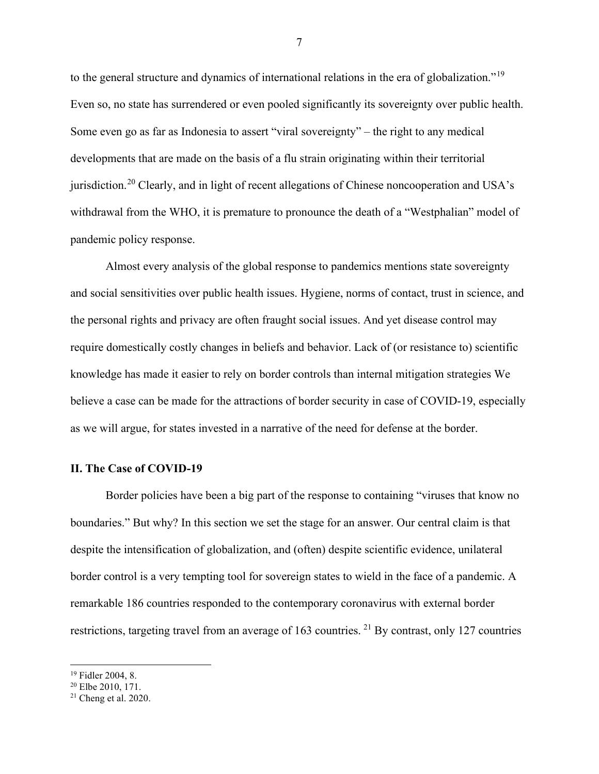to the general structure and dynamics of international relations in the era of globalization."[19](#page-8-0) Even so, no state has surrendered or even pooled significantly its sovereignty over public health. Some even go as far as Indonesia to assert "viral sovereignty" – the right to any medical developments that are made on the basis of a flu strain originating within their territorial jurisdiction.[20](#page-8-1) Clearly, and in light of recent allegations of Chinese noncooperation and USA's withdrawal from the WHO, it is premature to pronounce the death of a "Westphalian" model of pandemic policy response.

Almost every analysis of the global response to pandemics mentions state sovereignty and social sensitivities over public health issues. Hygiene, norms of contact, trust in science, and the personal rights and privacy are often fraught social issues. And yet disease control may require domestically costly changes in beliefs and behavior. Lack of (or resistance to) scientific knowledge has made it easier to rely on border controls than internal mitigation strategies We believe a case can be made for the attractions of border security in case of COVID-19, especially as we will argue, for states invested in a narrative of the need for defense at the border.

# **II. The Case of COVID-19**

Border policies have been a big part of the response to containing "viruses that know no boundaries." But why? In this section we set the stage for an answer. Our central claim is that despite the intensification of globalization, and (often) despite scientific evidence, unilateral border control is a very tempting tool for sovereign states to wield in the face of a pandemic. A remarkable 186 countries responded to the contemporary coronavirus with external border restrictions, targeting travel from an average of 163 countries. <sup>[21](#page-8-2)</sup> By contrast, only 127 countries

<span id="page-8-0"></span><sup>19</sup> Fidler 2004, 8.

<span id="page-8-1"></span> $20$  Elbe 2010, 171.

<span id="page-8-2"></span> $21$  Cheng et al. 2020.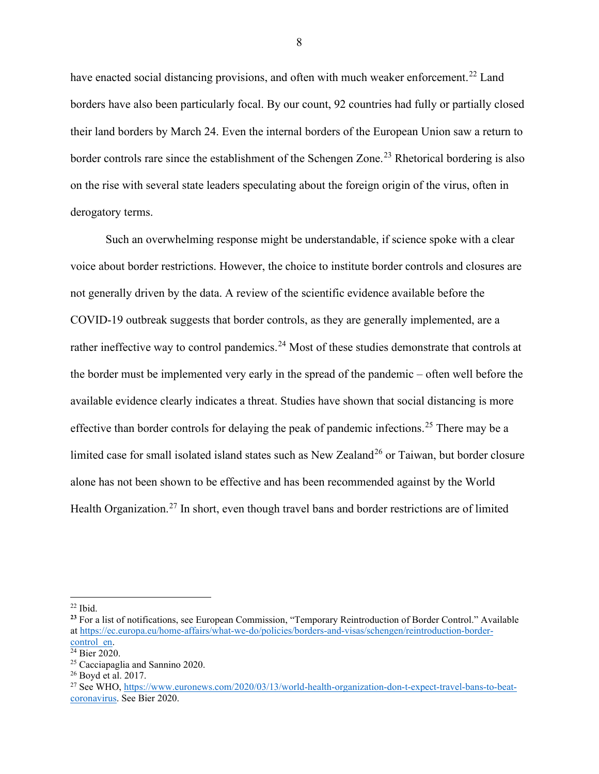have enacted social distancing provisions, and often with much weaker enforcement.<sup>[22](#page-9-0)</sup> Land borders have also been particularly focal. By our count, 92 countries had fully or partially closed their land borders by March 24. Even the internal borders of the European Union saw a return to border controls rare since the establishment of the Schengen Zone.<sup>[23](#page-9-1)</sup> Rhetorical bordering is also on the rise with several state leaders speculating about the foreign origin of the virus, often in derogatory terms.

Such an overwhelming response might be understandable, if science spoke with a clear voice about border restrictions. However, the choice to institute border controls and closures are not generally driven by the data. A review of the scientific evidence available before the COVID-19 outbreak suggests that border controls, as they are generally implemented, are a rather ineffective way to control pandemics.<sup>[24](#page-9-2)</sup> Most of these studies demonstrate that controls at the border must be implemented very early in the spread of the pandemic – often well before the available evidence clearly indicates a threat. Studies have shown that social distancing is more effective than border controls for delaying the peak of pandemic infections.<sup>[25](#page-9-3)</sup> There may be a limited case for small isolated island states such as New Zealand<sup>[26](#page-9-4)</sup> or Taiwan, but border closure alone has not been shown to be effective and has been recommended against by the World Health Organization.<sup>[27](#page-9-5)</sup> In short, even though travel bans and border restrictions are of limited

<span id="page-9-0"></span> $22$  Ibid.

<span id="page-9-1"></span>**<sup>23</sup>** For a list of notifications, see European Commission, "Temporary Reintroduction of Border Control." Available at https://ec.europa.eu/home-affairs/what-we-do/policies/borders-and-visas/schengen/reintroduction-border-<br>control en.

<span id="page-9-2"></span> $\overline{^{24}}$  Bier 2020.

<span id="page-9-3"></span><sup>25</sup> Cacciapaglia and Sannino 2020.

<span id="page-9-4"></span><sup>26</sup> Boyd et al. 2017.

<span id="page-9-5"></span><sup>&</sup>lt;sup>27</sup> See WHO, [https://www.euronews.com/2020/03/13/world-health-organization-don-t-expect-travel-bans-to-beat](https://www.euronews.com/2020/03/13/world-health-organization-don-t-expect-travel-bans-to-beat-coronavirus)[coronavirus.](https://www.euronews.com/2020/03/13/world-health-organization-don-t-expect-travel-bans-to-beat-coronavirus) See Bier 2020.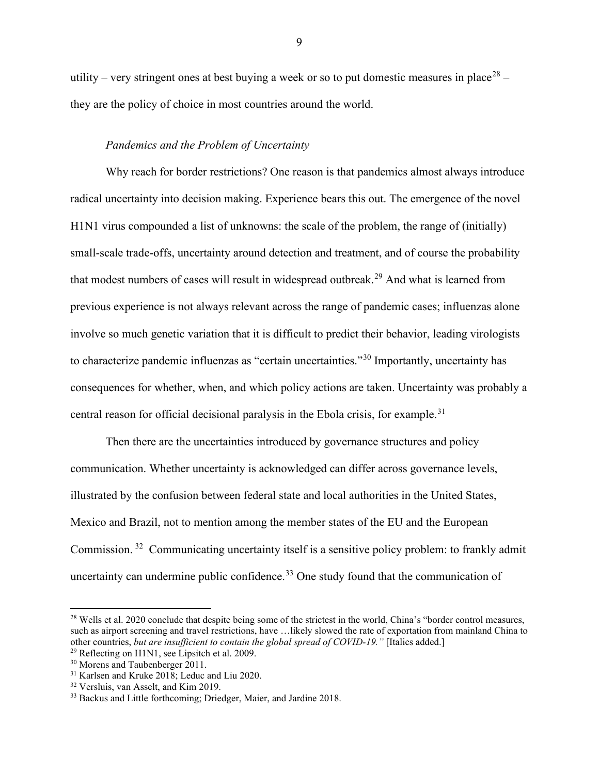utility – very stringent ones at best buying a week or so to put domestic measures in place<sup>[28](#page-10-0)</sup> – they are the policy of choice in most countries around the world.

## *Pandemics and the Problem of Uncertainty*

Why reach for border restrictions? One reason is that pandemics almost always introduce radical uncertainty into decision making. Experience bears this out. The emergence of the novel H1N1 virus compounded a list of unknowns: the scale of the problem, the range of (initially) small-scale trade-offs, uncertainty around detection and treatment, and of course the probability that modest numbers of cases will result in widespread outbreak.[29](#page-10-1) And what is learned from previous experience is not always relevant across the range of pandemic cases; influenzas alone involve so much genetic variation that it is difficult to predict their behavior, leading virologists to characterize pandemic influenzas as "certain uncertainties."<sup>[30](#page-10-2)</sup> Importantly, uncertainty has consequences for whether, when, and which policy actions are taken. Uncertainty was probably a central reason for official decisional paralysis in the Ebola crisis, for example.<sup>[31](#page-10-3)</sup>

Then there are the uncertainties introduced by governance structures and policy communication. Whether uncertainty is acknowledged can differ across governance levels, illustrated by the confusion between federal state and local authorities in the United States, Mexico and Brazil, not to mention among the member states of the EU and the European Commission. [32](#page-10-4) Communicating uncertainty itself is a sensitive policy problem: to frankly admit uncertainty can undermine public confidence.<sup>[33](#page-10-5)</sup> One study found that the communication of

<span id="page-10-0"></span> $28$  Wells et al. 2020 conclude that despite being some of the strictest in the world, China's "border control measures, such as airport screening and travel restrictions, have …likely slowed the rate of exportation from mainland China to other countries, *but are insufficient to contain the global spread of COVID-19."* [Italics added.]

<span id="page-10-1"></span><sup>&</sup>lt;sup>29</sup> Reflecting on H1N1, see Lipsitch et al. 2009.

<span id="page-10-2"></span><sup>30</sup> Morens and Taubenberger 2011.

<span id="page-10-3"></span><sup>&</sup>lt;sup>31</sup> Karlsen and Kruke 2018; Leduc and Liu 2020.<br><sup>32</sup> Versluis, van Asselt, and Kim 2019.

<span id="page-10-4"></span>

<span id="page-10-5"></span><sup>&</sup>lt;sup>33</sup> Backus and Little forthcoming; Driedger, Maier, and Jardine 2018.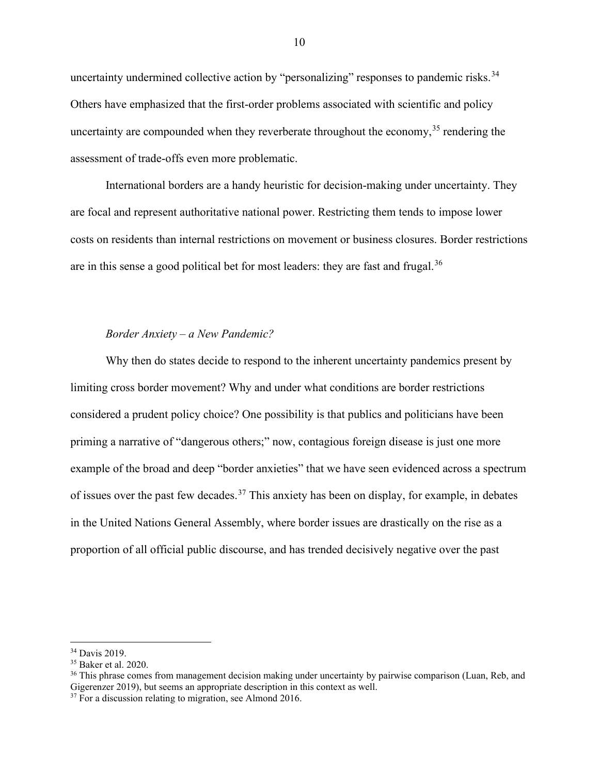uncertainty undermined collective action by "personalizing" responses to pandemic risks.<sup>[34](#page-11-0)</sup> Others have emphasized that the first-order problems associated with scientific and policy uncertainty are compounded when they reverberate throughout the economy,  $35$  rendering the assessment of trade-offs even more problematic.

International borders are a handy heuristic for decision-making under uncertainty. They are focal and represent authoritative national power. Restricting them tends to impose lower costs on residents than internal restrictions on movement or business closures. Border restrictions are in this sense a good political bet for most leaders: they are fast and frugal.<sup>[36](#page-11-2)</sup>

## *Border Anxiety – a New Pandemic?*

Why then do states decide to respond to the inherent uncertainty pandemics present by limiting cross border movement? Why and under what conditions are border restrictions considered a prudent policy choice? One possibility is that publics and politicians have been priming a narrative of "dangerous others;" now, contagious foreign disease is just one more example of the broad and deep "border anxieties" that we have seen evidenced across a spectrum of issues over the past few decades.<sup>[37](#page-11-3)</sup> This anxiety has been on display, for example, in debates in the United Nations General Assembly, where border issues are drastically on the rise as a proportion of all official public discourse, and has trended decisively negative over the past

<span id="page-11-0"></span><sup>34</sup> Davis 2019.

<span id="page-11-1"></span><sup>35</sup> Baker et al. 2020.

<span id="page-11-2"></span><sup>&</sup>lt;sup>36</sup> This phrase comes from management decision making under uncertainty by pairwise comparison (Luan, Reb, and Gigerenzer 2019), but seems an appropriate description in this context as well.

<span id="page-11-3"></span><sup>&</sup>lt;sup>37</sup> For a discussion relating to migration, see Almond 2016.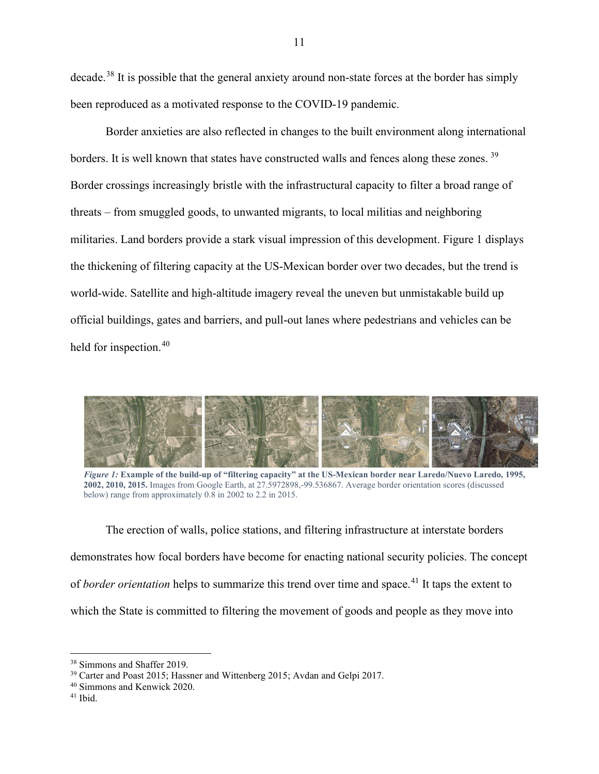decade.[38](#page-12-0) It is possible that the general anxiety around non-state forces at the border has simply been reproduced as a motivated response to the COVID-19 pandemic.

Border anxieties are also reflected in changes to the built environment along international borders. It is well known that states have constructed walls and fences along these zones.<sup>[39](#page-12-1)</sup> Border crossings increasingly bristle with the infrastructural capacity to filter a broad range of threats – from smuggled goods, to unwanted migrants, to local militias and neighboring militaries. Land borders provide a stark visual impression of this development. Figure 1 displays the thickening of filtering capacity at the US-Mexican border over two decades, but the trend is world-wide. Satellite and high-altitude imagery reveal the uneven but unmistakable build up official buildings, gates and barriers, and pull-out lanes where pedestrians and vehicles can be held for inspection.<sup>[40](#page-12-2)</sup>



 *Figure 1:* **Example of the build-up of "filtering capacity" at the US-Mexican border near Laredo/Nuevo Laredo, 1995, 2002, 2010, 2015.** Images from Google Earth, at 27.5972898,-99.536867. Average border orientation scores (discussed below) range from approximately 0.8 in 2002 to 2.2 in 2015.

The erection of walls, police stations, and filtering infrastructure at interstate borders demonstrates how focal borders have become for enacting national security policies. The concept of *border orientation* helps to summarize this trend over time and space.<sup>[41](#page-12-3)</sup> It taps the extent to which the State is committed to filtering the movement of goods and people as they move into

<span id="page-12-0"></span><sup>38</sup> Simmons and Shaffer 2019.

<span id="page-12-1"></span><sup>39</sup> Carter and Poast 2015; Hassner and Wittenberg 2015; Avdan and Gelpi 2017.

<span id="page-12-2"></span><sup>40</sup> Simmons and Kenwick 2020.

<span id="page-12-3"></span><sup>41</sup> Ibid.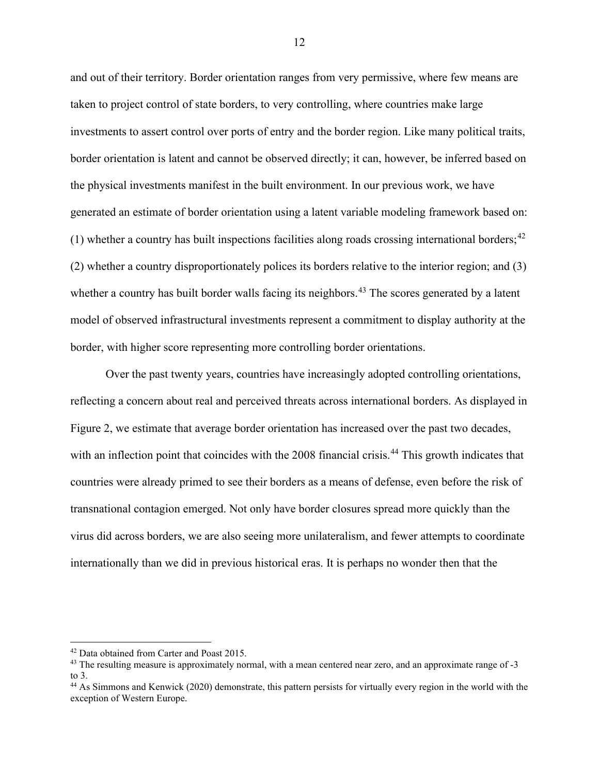and out of their territory. Border orientation ranges from very permissive, where few means are taken to project control of state borders, to very controlling, where countries make large investments to assert control over ports of entry and the border region. Like many political traits, border orientation is latent and cannot be observed directly; it can, however, be inferred based on the physical investments manifest in the built environment. In our previous work, we have generated an estimate of border orientation using a latent variable modeling framework based on: (1) whether a country has built inspections facilities along roads crossing international borders;  $42$ (2) whether a country disproportionately polices its borders relative to the interior region; and (3) whether a country has built border walls facing its neighbors.<sup>[43](#page-13-1)</sup> The scores generated by a latent model of observed infrastructural investments represent a commitment to display authority at the border, with higher score representing more controlling border orientations.

Over the past twenty years, countries have increasingly adopted controlling orientations, reflecting a concern about real and perceived threats across international borders. As displayed in Figure 2, we estimate that average border orientation has increased over the past two decades, with an inflection point that coincides with the 2008 financial crisis.<sup>[44](#page-13-2)</sup> This growth indicates that countries were already primed to see their borders as a means of defense, even before the risk of transnational contagion emerged. Not only have border closures spread more quickly than the virus did across borders, we are also seeing more unilateralism, and fewer attempts to coordinate internationally than we did in previous historical eras. It is perhaps no wonder then that the

<span id="page-13-0"></span><sup>42</sup> Data obtained from Carter and Poast 2015.

<span id="page-13-1"></span><sup>&</sup>lt;sup>43</sup> The resulting measure is approximately normal, with a mean centered near zero, and an approximate range of -3 to 3.

<span id="page-13-2"></span><sup>&</sup>lt;sup>44</sup> As Simmons and Kenwick (2020) demonstrate, this pattern persists for virtually every region in the world with the exception of Western Europe.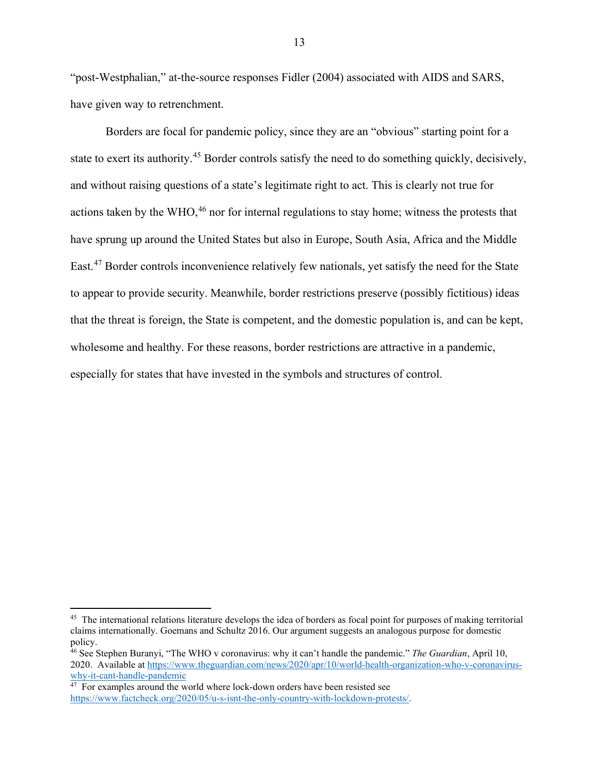"post-Westphalian," at-the-source responses Fidler (2004) associated with AIDS and SARS, have given way to retrenchment.

Borders are focal for pandemic policy, since they are an "obvious" starting point for a state to exert its authority.<sup>[45](#page-14-0)</sup> Border controls satisfy the need to do something quickly, decisively, and without raising questions of a state's legitimate right to act. This is clearly not true for actions taken by the WHO,<sup>[46](#page-14-1)</sup> nor for internal regulations to stay home; witness the protests that have sprung up around the United States but also in Europe, South Asia, Africa and the Middle East.[47](#page-14-2) Border controls inconvenience relatively few nationals, yet satisfy the need for the State to appear to provide security. Meanwhile, border restrictions preserve (possibly fictitious) ideas that the threat is foreign, the State is competent, and the domestic population is, and can be kept, wholesome and healthy. For these reasons, border restrictions are attractive in a pandemic, especially for states that have invested in the symbols and structures of control.

<span id="page-14-0"></span><sup>&</sup>lt;sup>45</sup> The international relations literature develops the idea of borders as focal point for purposes of making territorial claims internationally. Goemans and Schultz 2016. Our argument suggests an analogous purpose for domestic policy.

<span id="page-14-1"></span><sup>46</sup> See Stephen Buranyi, "The WHO v coronavirus: why it can't handle the pandemic." *The Guardian*, April 10, 2020. Available a[t https://www.theguardian.com/news/2020/apr/10/world-health-organization-who-v-coronavirus](https://www.theguardian.com/news/2020/apr/10/world-health-organization-who-v-coronavirus-why-it-cant-handle-pandemic)[why-it-cant-handle-pandemic](https://www.theguardian.com/news/2020/apr/10/world-health-organization-who-v-coronavirus-why-it-cant-handle-pandemic)

<span id="page-14-2"></span> $47$  For examples around the world where lock-down orders have been resisted see [https://www.factcheck.org/2020/05/u-s-isnt-the-only-country-with-lockdown-protests/.](https://www.factcheck.org/2020/05/u-s-isnt-the-only-country-with-lockdown-protests/)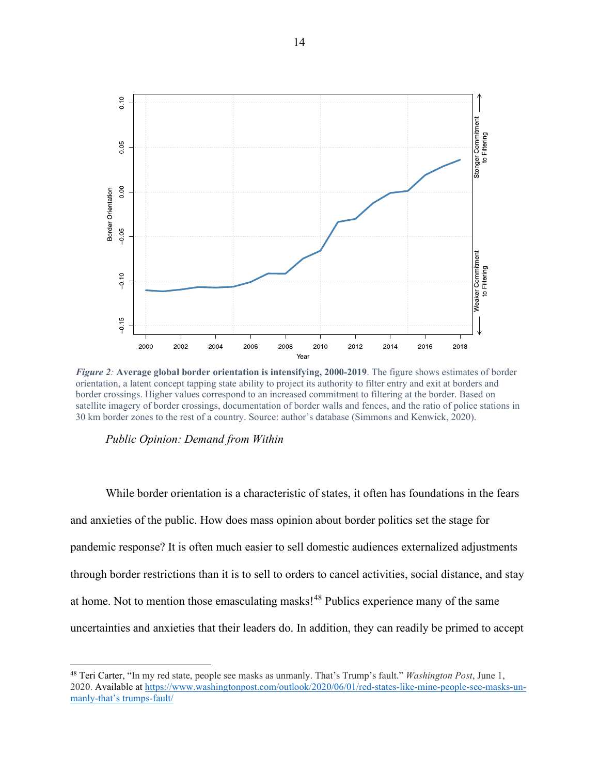

*Figure 2:* **Average global border orientation is intensifying, 2000-2019**. The figure shows estimates of border orientation, a latent concept tapping state ability to project its authority to filter entry and exit at borders and border crossings. Higher values correspond to an increased commitment to filtering at the border. Based on satellite imagery of border crossings, documentation of border walls and fences, and the ratio of police stations in 30 km border zones to the rest of a country. Source: author's database (Simmons and Kenwick, 2020).

*Public Opinion: Demand from Within*

While border orientation is a characteristic of states, it often has foundations in the fears and anxieties of the public. How does mass opinion about border politics set the stage for pandemic response? It is often much easier to sell domestic audiences externalized adjustments through border restrictions than it is to sell to orders to cancel activities, social distance, and stay at home. Not to mention those emasculating masks!<sup>[48](#page-15-0)</sup> Publics experience many of the same uncertainties and anxieties that their leaders do. In addition, they can readily be primed to accept

<span id="page-15-0"></span><sup>48</sup> Teri Carter, "In my red state, people see masks as unmanly. That's Trump's fault." *Washington Post*, June 1, 2020. Available at [https://www.washingtonpost.com/outlook/2020/06/01/red-states-like-mine-people-see-masks-un](https://www.washingtonpost.com/outlook/2020/06/01/red-states-like-mine-people-see-masks-un-manly-that%E2%80%99s%20trumps-fault/)[manly-that's trumps-fault/](https://www.washingtonpost.com/outlook/2020/06/01/red-states-like-mine-people-see-masks-un-manly-that%E2%80%99s%20trumps-fault/)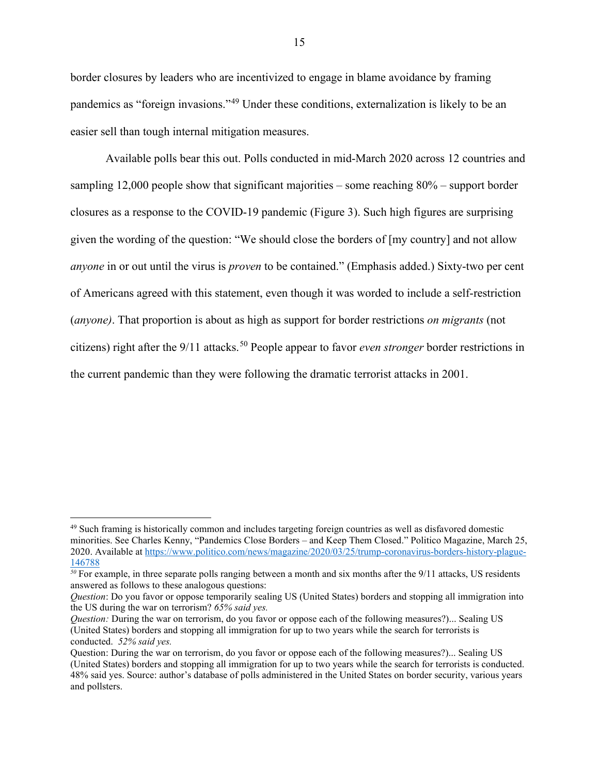border closures by leaders who are incentivized to engage in blame avoidance by framing pandemics as "foreign invasions."[49](#page-16-0) Under these conditions, externalization is likely to be an easier sell than tough internal mitigation measures.

Available polls bear this out. Polls conducted in mid-March 2020 across 12 countries and sampling 12,000 people show that significant majorities – some reaching 80% – support border closures as a response to the COVID-19 pandemic (Figure 3). Such high figures are surprising given the wording of the question: "We should close the borders of [my country] and not allow *anyone* in or out until the virus is *proven* to be contained." (Emphasis added.) Sixty-two per cent of Americans agreed with this statement, even though it was worded to include a self-restriction (*anyone)*. That proportion is about as high as support for border restrictions *on migrants* (not citizens) right after the 9/11 attacks.<sup>[50](#page-16-1)</sup> People appear to favor *even stronger* border restrictions in the current pandemic than they were following the dramatic terrorist attacks in 2001.

<span id="page-16-0"></span><sup>49</sup> Such framing is historically common and includes targeting foreign countries as well as disfavored domestic minorities. See Charles Kenny, "Pandemics Close Borders – and Keep Them Closed." Politico Magazine, March 25, 2020. Available at [https://www.politico.com/news/magazine/2020/03/25/trump-coronavirus-borders-history-plague-](https://www.politico.com/news/magazine/2020/03/25/trump-coronavirus-borders-history-plague-146788)[146788](https://www.politico.com/news/magazine/2020/03/25/trump-coronavirus-borders-history-plague-146788)

<span id="page-16-1"></span>*<sup>50</sup>* For example, in three separate polls ranging between a month and six months after the 9/11 attacks, US residents answered as follows to these analogous questions:

*Question*: Do you favor or oppose temporarily sealing US (United States) borders and stopping all immigration into the US during the war on terrorism? *65% said yes.*

*Question:* During the war on terrorism, do you favor or oppose each of the following measures?)... Sealing US (United States) borders and stopping all immigration for up to two years while the search for terrorists is conducted. *52% said yes.*

Question: During the war on terrorism, do you favor or oppose each of the following measures?)... Sealing US (United States) borders and stopping all immigration for up to two years while the search for terrorists is conducted. 48% said yes. Source: author's database of polls administered in the United States on border security, various years and pollsters.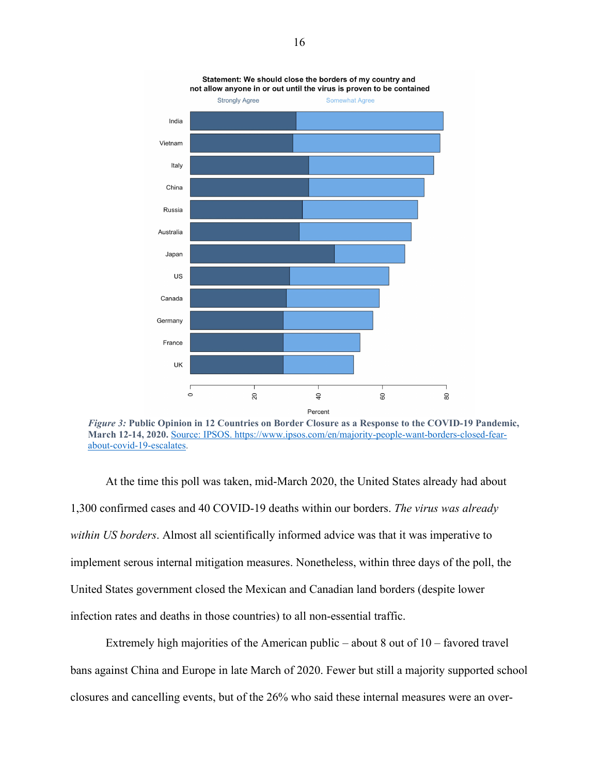



At the time this poll was taken, mid-March 2020, the United States already had about 1,300 confirmed cases and 40 COVID-19 deaths within our borders. *The virus was already within US borders*. Almost all scientifically informed advice was that it was imperative to implement serous internal mitigation measures. Nonetheless, within three days of the poll, the United States government closed the Mexican and Canadian land borders (despite lower infection rates and deaths in those countries) to all non-essential traffic.

Extremely high majorities of the American public – about 8 out of 10 – favored travel bans against China and Europe in late March of 2020. Fewer but still a majority supported school closures and cancelling events, but of the 26% who said these internal measures were an over-

Statement: We should close the borders of my country and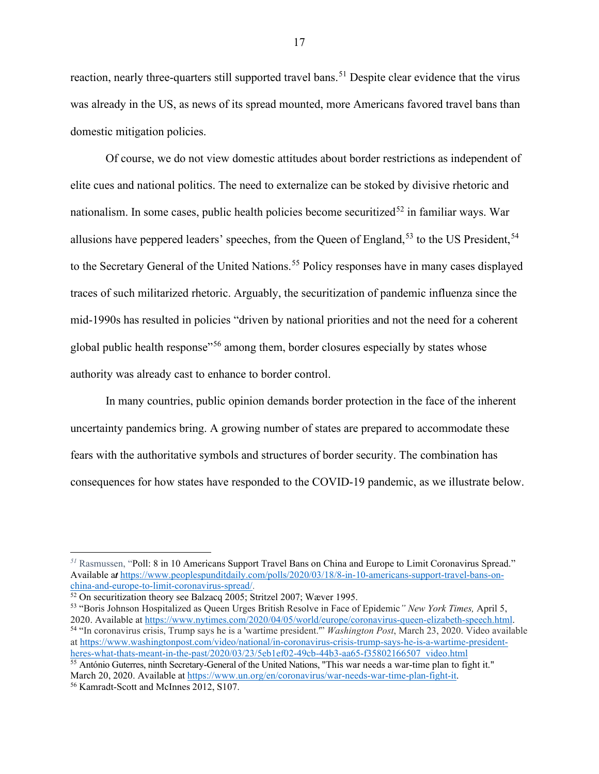reaction, nearly three-quarters still supported travel bans.<sup>[51](#page-18-0)</sup> Despite clear evidence that the virus was already in the US, as news of its spread mounted, more Americans favored travel bans than domestic mitigation policies.

Of course, we do not view domestic attitudes about border restrictions as independent of elite cues and national politics. The need to externalize can be stoked by divisive rhetoric and nationalism. In some cases, public health policies become securitized<sup>[52](#page-18-1)</sup> in familiar ways. War allusions have peppered leaders' speeches, from the Queen of England,<sup>[53](#page-18-2)</sup> to the US President,<sup>[54](#page-18-3)</sup> to the Secretary General of the United Nations.<sup>[55](#page-18-4)</sup> Policy responses have in many cases displayed traces of such militarized rhetoric. Arguably, the securitization of pandemic influenza since the mid-1990s has resulted in policies "driven by national priorities and not the need for a coherent global public health response<sup>"[56](#page-18-5)</sup> among them, border closures especially by states whose authority was already cast to enhance to border control.

In many countries, public opinion demands border protection in the face of the inherent uncertainty pandemics bring. A growing number of states are prepared to accommodate these fears with the authoritative symbols and structures of border security. The combination has consequences for how states have responded to the COVID-19 pandemic, as we illustrate below.

<span id="page-18-0"></span>*<sup>51</sup>* Rasmussen, "Poll: 8 in 10 Americans Support Travel Bans on China and Europe to Limit Coronavirus Spread." Available at https://www.peoplespunditdaily.com/polls/2020/03/18/8-in-10-americans-support-travel-bans-on-<br>china-and-europe-to-limit-coronavirus-spread/.

<span id="page-18-1"></span> $\frac{52 \text{ On security}}{2005}$  Stritzel 2007; Wæver 1995.

<span id="page-18-3"></span><span id="page-18-2"></span><sup>53</sup> "Boris Johnson Hospitalized as Queen Urges British Resolve in Face of Epidemic*" New York Times,* April 5, 2020. Available at [https://www.nytimes.com/2020/04/05/world/europe/coronavirus-queen-elizabeth-speech.html.](https://www.nytimes.com/2020/04/05/world/europe/coronavirus-queen-elizabeth-speech.html) <sup>54</sup> "In coronavirus crisis, Trump says he is a 'wartime president.'" *Washington Post*, March 23, 2020. Video available a[t https://www.washingtonpost.com/video/national/in-coronavirus-crisis-trump-says-he-is-a-wartime-president](https://www.washingtonpost.com/video/national/in-coronavirus-crisis-trump-says-he-is-a-wartime-president-heres-what-thats-meant-in-the-past/2020/03/23/5eb1ef02-49cb-44b3-aa65-f35802166507_video.html)[heres-what-thats-meant-in-the-past/2020/03/23/5eb1ef02-49cb-44b3-aa65-f35802166507\\_video.html](https://www.washingtonpost.com/video/national/in-coronavirus-crisis-trump-says-he-is-a-wartime-president-heres-what-thats-meant-in-the-past/2020/03/23/5eb1ef02-49cb-44b3-aa65-f35802166507_video.html)

<span id="page-18-4"></span><sup>55</sup> António Guterres, ninth Secretary-General of the United Nations, "This war needs a war-time plan to fight it." March 20, 2020. Available a[t https://www.un.org/en/coronavirus/war-needs-war-time-plan-fight-it.](https://www.un.org/en/coronavirus/war-needs-war-time-plan-fight-it)

<span id="page-18-5"></span><sup>56</sup> Kamradt-Scott and McInnes 2012, S107.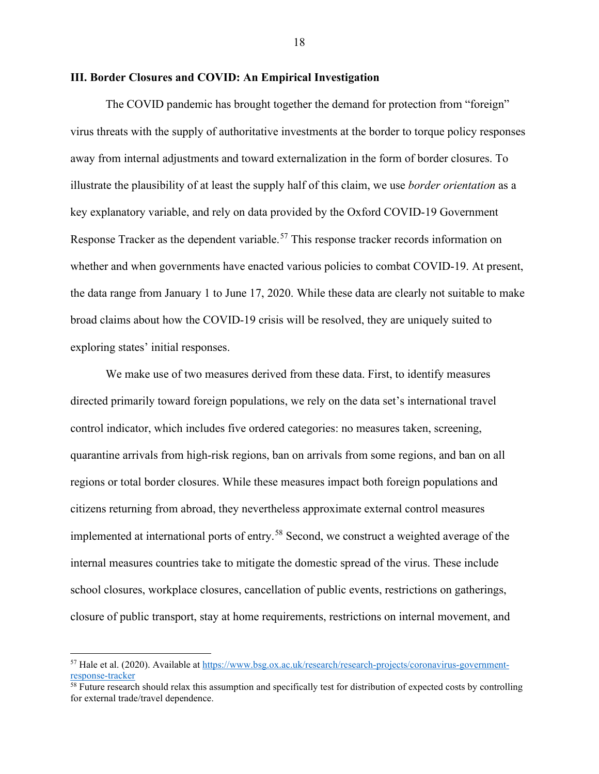## **III. Border Closures and COVID: An Empirical Investigation**

The COVID pandemic has brought together the demand for protection from "foreign" virus threats with the supply of authoritative investments at the border to torque policy responses away from internal adjustments and toward externalization in the form of border closures. To illustrate the plausibility of at least the supply half of this claim, we use *border orientation* as a key explanatory variable, and rely on data provided by the Oxford COVID-19 Government Response Tracker as the dependent variable.<sup>[57](#page-19-0)</sup> This response tracker records information on whether and when governments have enacted various policies to combat COVID-19. At present, the data range from January 1 to June 17, 2020. While these data are clearly not suitable to make broad claims about how the COVID-19 crisis will be resolved, they are uniquely suited to exploring states' initial responses.

We make use of two measures derived from these data. First, to identify measures directed primarily toward foreign populations, we rely on the data set's international travel control indicator, which includes five ordered categories: no measures taken, screening, quarantine arrivals from high-risk regions, ban on arrivals from some regions, and ban on all regions or total border closures. While these measures impact both foreign populations and citizens returning from abroad, they nevertheless approximate external control measures implemented at international ports of entry.<sup>[58](#page-19-1)</sup> Second, we construct a weighted average of the internal measures countries take to mitigate the domestic spread of the virus. These include school closures, workplace closures, cancellation of public events, restrictions on gatherings, closure of public transport, stay at home requirements, restrictions on internal movement, and

<span id="page-19-0"></span><sup>57</sup> Hale et al. (2020). Available at [https://www.bsg.ox.ac.uk/research/research-projects/coronavirus-government](https://www.bsg.ox.ac.uk/research/research-projects/coronavirus-government-response-tracker)[response-tracker](https://www.bsg.ox.ac.uk/research/research-projects/coronavirus-government-response-tracker)

<span id="page-19-1"></span> $\frac{58}{10}$  Future research should relax this assumption and specifically test for distribution of expected costs by controlling for external trade/travel dependence.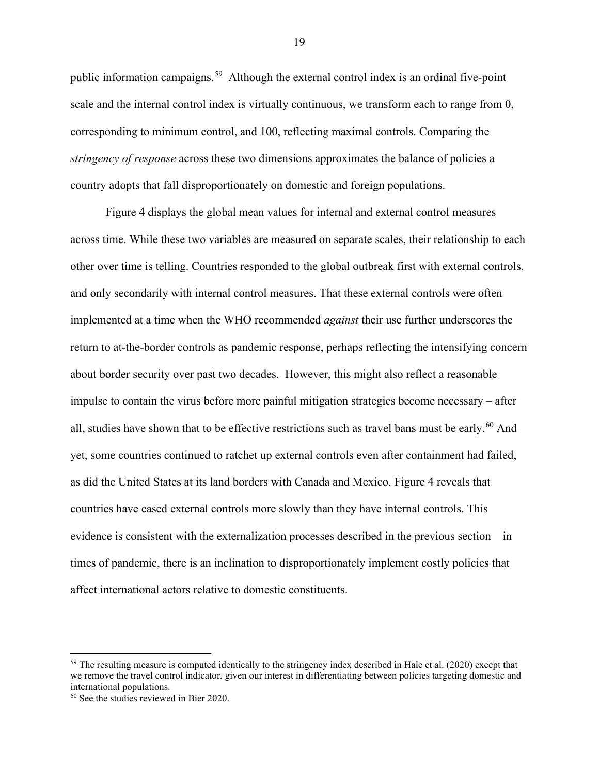public information campaigns.[59](#page-20-0) Although the external control index is an ordinal five-point scale and the internal control index is virtually continuous, we transform each to range from 0, corresponding to minimum control, and 100, reflecting maximal controls. Comparing the *stringency of response* across these two dimensions approximates the balance of policies a country adopts that fall disproportionately on domestic and foreign populations.

Figure 4 displays the global mean values for internal and external control measures across time. While these two variables are measured on separate scales, their relationship to each other over time is telling. Countries responded to the global outbreak first with external controls, and only secondarily with internal control measures. That these external controls were often implemented at a time when the WHO recommended *against* their use further underscores the return to at-the-border controls as pandemic response, perhaps reflecting the intensifying concern about border security over past two decades. However, this might also reflect a reasonable impulse to contain the virus before more painful mitigation strategies become necessary – after all, studies have shown that to be effective restrictions such as travel bans must be early.<sup>[60](#page-20-1)</sup> And yet, some countries continued to ratchet up external controls even after containment had failed, as did the United States at its land borders with Canada and Mexico. Figure 4 reveals that countries have eased external controls more slowly than they have internal controls. This evidence is consistent with the externalization processes described in the previous section—in times of pandemic, there is an inclination to disproportionately implement costly policies that affect international actors relative to domestic constituents.

<span id="page-20-0"></span> $59$  The resulting measure is computed identically to the stringency index described in Hale et al. (2020) except that we remove the travel control indicator, given our interest in differentiating between policies targeting domestic and international populations.

<span id="page-20-1"></span><sup>60</sup> See the studies reviewed in Bier 2020.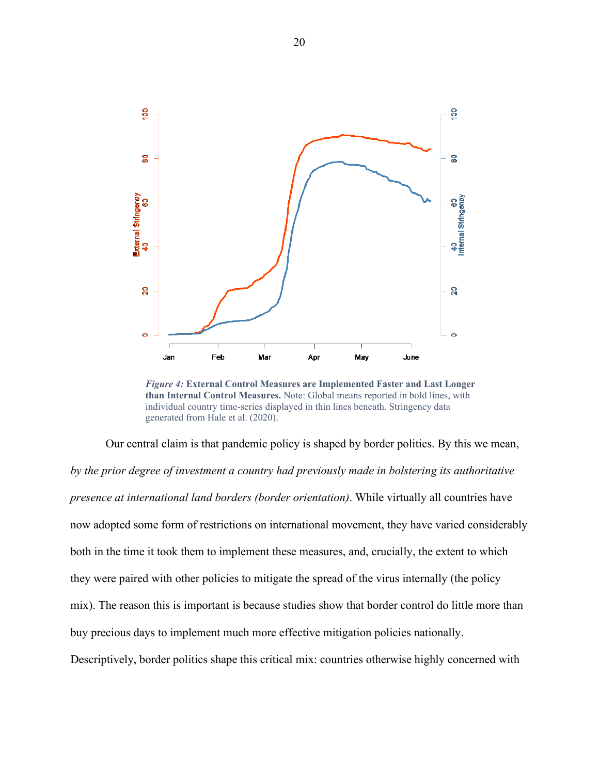

*Figure 4:* **External Control Measures are Implemented Faster and Last Longer than Internal Control Measures.** Note: Global means reported in bold lines, with individual country time-series displayed in thin lines beneath. Stringency data generated from Hale et al. (2020).

Our central claim is that pandemic policy is shaped by border politics. By this we mean, *by the prior degree of investment a country had previously made in bolstering its authoritative presence at international land borders (border orientation)*. While virtually all countries have now adopted some form of restrictions on international movement, they have varied considerably both in the time it took them to implement these measures, and, crucially, the extent to which they were paired with other policies to mitigate the spread of the virus internally (the policy mix). The reason this is important is because studies show that border control do little more than buy precious days to implement much more effective mitigation policies nationally. Descriptively, border politics shape this critical mix: countries otherwise highly concerned with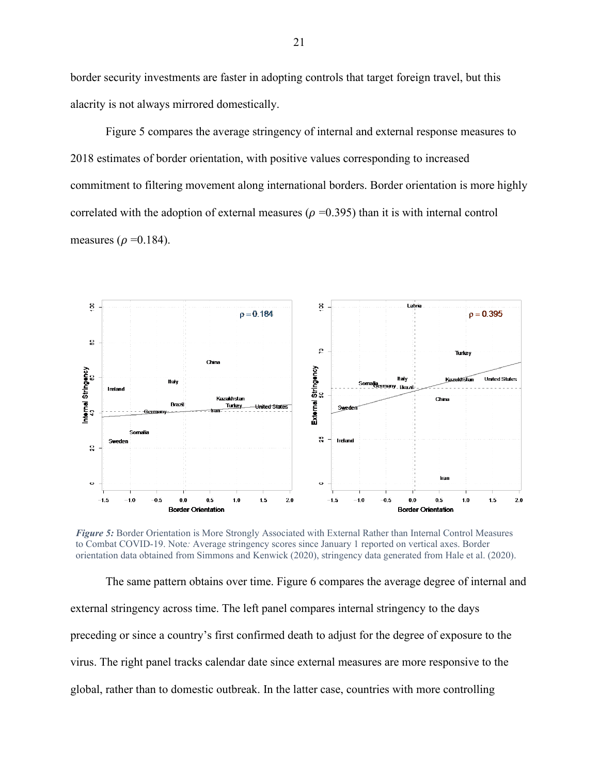border security investments are faster in adopting controls that target foreign travel, but this alacrity is not always mirrored domestically.

Figure 5 compares the average stringency of internal and external response measures to 2018 estimates of border orientation, with positive values corresponding to increased commitment to filtering movement along international borders. Border orientation is more highly correlated with the adoption of external measures ( $\rho = 0.395$ ) than it is with internal control measures ( $\rho = 0.184$ ).



*Figure 5:* Border Orientation is More Strongly Associated with External Rather than Internal Control Measures to Combat COVID-19. Note*:* Average stringency scores since January 1 reported on vertical axes. Border orientation data obtained from Simmons and Kenwick (2020), stringency data generated from Hale et al. (2020).

The same pattern obtains over time. Figure 6 compares the average degree of internal and external stringency across time. The left panel compares internal stringency to the days preceding or since a country's first confirmed death to adjust for the degree of exposure to the virus. The right panel tracks calendar date since external measures are more responsive to the global, rather than to domestic outbreak. In the latter case, countries with more controlling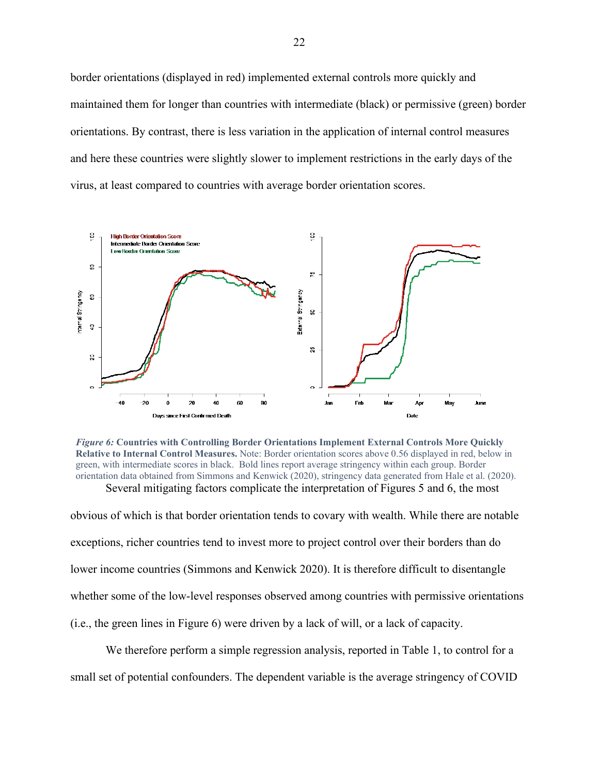border orientations (displayed in red) implemented external controls more quickly and maintained them for longer than countries with intermediate (black) or permissive (green) border orientations. By contrast, there is less variation in the application of internal control measures and here these countries were slightly slower to implement restrictions in the early days of the virus, at least compared to countries with average border orientation scores.



*Figure 6:* **Countries with Controlling Border Orientations Implement External Controls More Quickly Relative to Internal Control Measures.** Note: Border orientation scores above 0.56 displayed in red, below in green, with intermediate scores in black. Bold lines report average stringency within each group. Border orientation data obtained from Simmons and Kenwick (2020), stringency data generated from Hale et al. (2020). Several mitigating factors complicate the interpretation of Figures 5 and 6, the most

obvious of which is that border orientation tends to covary with wealth. While there are notable exceptions, richer countries tend to invest more to project control over their borders than do lower income countries (Simmons and Kenwick 2020). It is therefore difficult to disentangle whether some of the low-level responses observed among countries with permissive orientations (i.e., the green lines in Figure 6) were driven by a lack of will, or a lack of capacity.

We therefore perform a simple regression analysis, reported in Table 1, to control for a small set of potential confounders. The dependent variable is the average stringency of COVID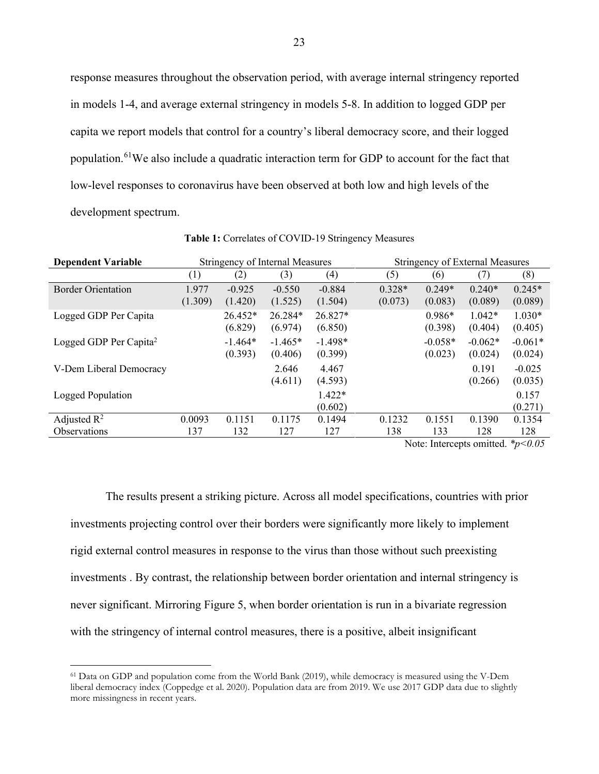response measures throughout the observation period, with average internal stringency reported in models 1-4, and average external stringency in models 5-8. In addition to logged GDP per capita we report models that control for a country's liberal democracy score, and their logged population.<sup>[61](#page-24-0)</sup>We also include a quadratic interaction term for GDP to account for the fact that low-level responses to coronavirus have been observed at both low and high levels of the development spectrum.

| <b>Dependent Variable</b>          | <b>Stringency of Internal Measures</b> |           |           |           | <b>Stringency of External Measures</b> |           |           |           |
|------------------------------------|----------------------------------------|-----------|-----------|-----------|----------------------------------------|-----------|-----------|-----------|
|                                    | (1)                                    | (2)       | (3)       | (4)       | (5)                                    | (6)       | (7)       | (8)       |
| <b>Border Orientation</b>          | 1.977                                  | $-0.925$  | $-0.550$  | $-0.884$  | $0.328*$                               | $0.249*$  | $0.240*$  | $0.245*$  |
|                                    | (1.309)                                | (1.420)   | (1.525)   | (1.504)   | (0.073)                                | (0.083)   | (0.089)   | (0.089)   |
| Logged GDP Per Capita              |                                        | 26.452*   | 26.284*   | 26.827*   |                                        | $0.986*$  | $1.042*$  | $1.030*$  |
|                                    |                                        | (6.829)   | (6.974)   | (6.850)   |                                        | (0.398)   | (0.404)   | (0.405)   |
| Logged GDP Per Capita <sup>2</sup> |                                        | $-1.464*$ | $-1.465*$ | $-1.498*$ |                                        | $-0.058*$ | $-0.062*$ | $-0.061*$ |
|                                    |                                        | (0.393)   | (0.406)   | (0.399)   |                                        | (0.023)   | (0.024)   | (0.024)   |
| V-Dem Liberal Democracy            |                                        |           | 2.646     | 4.467     |                                        |           | 0.191     | $-0.025$  |
|                                    |                                        |           | (4.611)   | (4.593)   |                                        |           | (0.266)   | (0.035)   |
| Logged Population                  |                                        |           |           | $1.422*$  |                                        |           |           | 0.157     |
|                                    |                                        |           |           | (0.602)   |                                        |           |           | (0.271)   |
| Adjusted $R^2$                     | 0.0093                                 | 0.1151    | 0.1175    | 0.1494    | 0.1232                                 | 0.1551    | 0.1390    | 0.1354    |
| Observations                       | 137                                    | 132       | 127       | 127       | 138                                    | 133       | 128       | 128       |

**Table 1:** Correlates of COVID-19 Stringency Measures

Note: Intercepts omitted. *\*p<0.05*

The results present a striking picture. Across all model specifications, countries with prior investments projecting control over their borders were significantly more likely to implement rigid external control measures in response to the virus than those without such preexisting investments . By contrast, the relationship between border orientation and internal stringency is never significant. Mirroring Figure 5, when border orientation is run in a bivariate regression with the stringency of internal control measures, there is a positive, albeit insignificant

<span id="page-24-0"></span><sup>61</sup> Data on GDP and population come from the World Bank (2019), while democracy is measured using the V-Dem liberal democracy index (Coppedge et al. 2020). Population data are from 2019. We use 2017 GDP data due to slightly more missingness in recent years.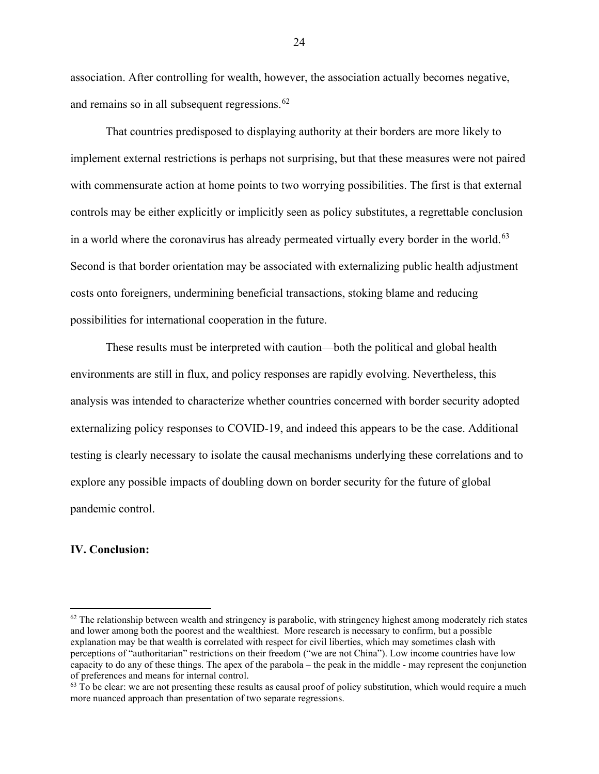association. After controlling for wealth, however, the association actually becomes negative, and remains so in all subsequent regressions.<sup>[62](#page-25-0)</sup>

That countries predisposed to displaying authority at their borders are more likely to implement external restrictions is perhaps not surprising, but that these measures were not paired with commensurate action at home points to two worrying possibilities. The first is that external controls may be either explicitly or implicitly seen as policy substitutes, a regrettable conclusion in a world where the coronavirus has already permeated virtually every border in the world.<sup>[63](#page-25-1)</sup> Second is that border orientation may be associated with externalizing public health adjustment costs onto foreigners, undermining beneficial transactions, stoking blame and reducing possibilities for international cooperation in the future.

These results must be interpreted with caution—both the political and global health environments are still in flux, and policy responses are rapidly evolving. Nevertheless, this analysis was intended to characterize whether countries concerned with border security adopted externalizing policy responses to COVID-19, and indeed this appears to be the case. Additional testing is clearly necessary to isolate the causal mechanisms underlying these correlations and to explore any possible impacts of doubling down on border security for the future of global pandemic control.

## **IV. Conclusion:**

<span id="page-25-0"></span> $62$  The relationship between wealth and stringency is parabolic, with stringency highest among moderately rich states and lower among both the poorest and the wealthiest. More research is necessary to confirm, but a possible explanation may be that wealth is correlated with respect for civil liberties, which may sometimes clash with perceptions of "authoritarian" restrictions on their freedom ("we are not China"). Low income countries have low capacity to do any of these things. The apex of the parabola – the peak in the middle - may represent the conjunction of preferences and means for internal control.

<span id="page-25-1"></span> $63$  To be clear: we are not presenting these results as causal proof of policy substitution, which would require a much more nuanced approach than presentation of two separate regressions.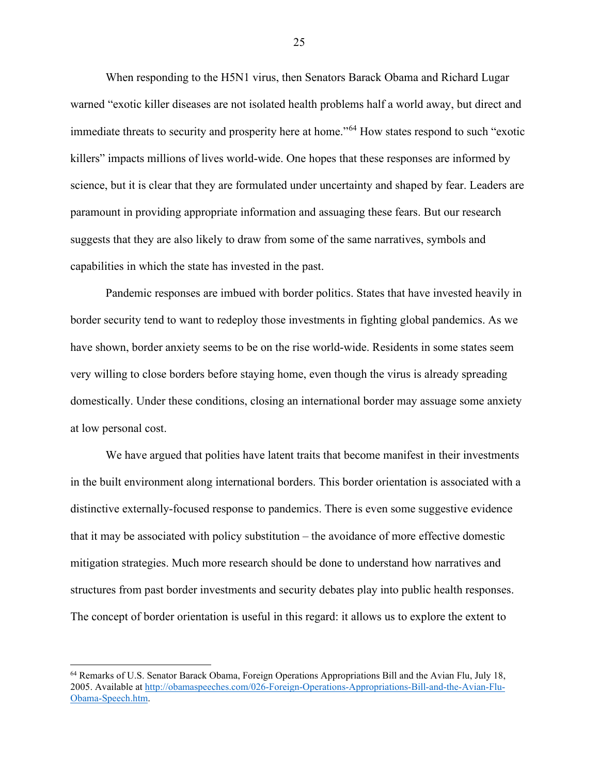When responding to the H5N1 virus, then Senators Barack Obama and Richard Lugar warned "exotic killer diseases are not isolated health problems half a world away, but direct and immediate threats to security and prosperity here at home."[64](#page-26-0) How states respond to such "exotic killers" impacts millions of lives world-wide. One hopes that these responses are informed by science, but it is clear that they are formulated under uncertainty and shaped by fear. Leaders are paramount in providing appropriate information and assuaging these fears. But our research suggests that they are also likely to draw from some of the same narratives, symbols and capabilities in which the state has invested in the past.

Pandemic responses are imbued with border politics. States that have invested heavily in border security tend to want to redeploy those investments in fighting global pandemics. As we have shown, border anxiety seems to be on the rise world-wide. Residents in some states seem very willing to close borders before staying home, even though the virus is already spreading domestically. Under these conditions, closing an international border may assuage some anxiety at low personal cost.

We have argued that polities have latent traits that become manifest in their investments in the built environment along international borders. This border orientation is associated with a distinctive externally-focused response to pandemics. There is even some suggestive evidence that it may be associated with policy substitution – the avoidance of more effective domestic mitigation strategies. Much more research should be done to understand how narratives and structures from past border investments and security debates play into public health responses. The concept of border orientation is useful in this regard: it allows us to explore the extent to

<span id="page-26-0"></span><sup>64</sup> Remarks of U.S. Senator Barack Obama, Foreign Operations Appropriations Bill and the Avian Flu, July 18, 2005. Available at [http://obamaspeeches.com/026-Foreign-Operations-Appropriations-Bill-and-the-Avian-Flu-](http://obamaspeeches.com/026-Foreign-Operations-Appropriations-Bill-and-the-Avian-Flu-Obama-Speech.htm)[Obama-Speech.htm.](http://obamaspeeches.com/026-Foreign-Operations-Appropriations-Bill-and-the-Avian-Flu-Obama-Speech.htm)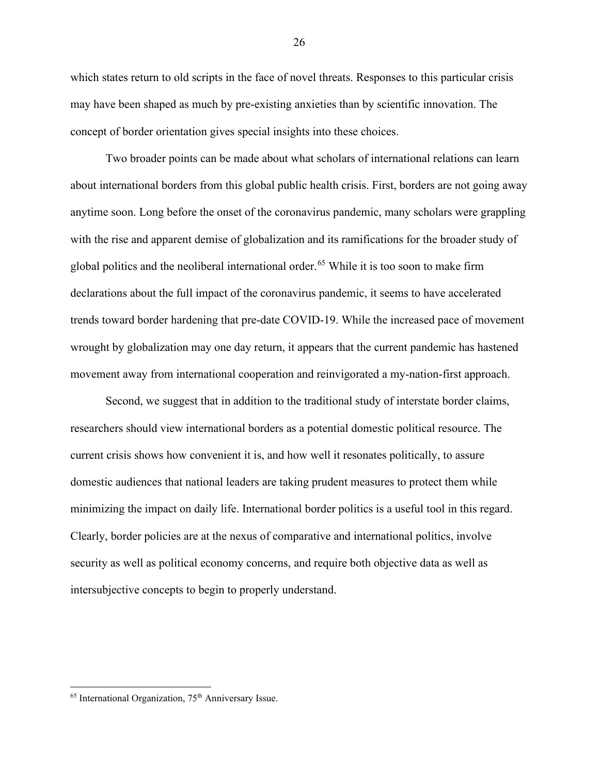which states return to old scripts in the face of novel threats. Responses to this particular crisis may have been shaped as much by pre-existing anxieties than by scientific innovation. The concept of border orientation gives special insights into these choices.

Two broader points can be made about what scholars of international relations can learn about international borders from this global public health crisis. First, borders are not going away anytime soon. Long before the onset of the coronavirus pandemic, many scholars were grappling with the rise and apparent demise of globalization and its ramifications for the broader study of global politics and the neoliberal international order.<sup>[65](#page-27-0)</sup> While it is too soon to make firm declarations about the full impact of the coronavirus pandemic, it seems to have accelerated trends toward border hardening that pre-date COVID-19. While the increased pace of movement wrought by globalization may one day return, it appears that the current pandemic has hastened movement away from international cooperation and reinvigorated a my-nation-first approach.

Second, we suggest that in addition to the traditional study of interstate border claims, researchers should view international borders as a potential domestic political resource. The current crisis shows how convenient it is, and how well it resonates politically, to assure domestic audiences that national leaders are taking prudent measures to protect them while minimizing the impact on daily life. International border politics is a useful tool in this regard. Clearly, border policies are at the nexus of comparative and international politics, involve security as well as political economy concerns, and require both objective data as well as intersubjective concepts to begin to properly understand.

<span id="page-27-0"></span> $65$  International Organization,  $75<sup>th</sup>$  Anniversary Issue.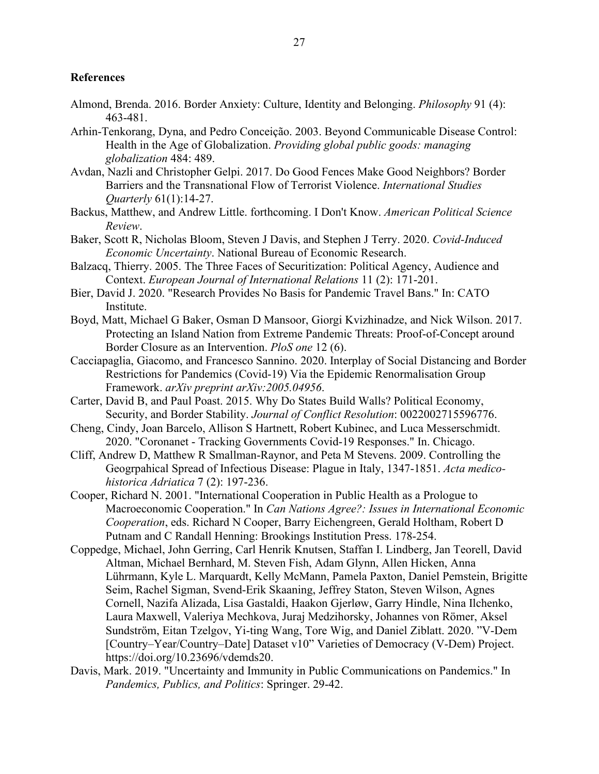# **References**

- Almond, Brenda. 2016. Border Anxiety: Culture, Identity and Belonging. *Philosophy* 91 (4): 463-481.
- Arhin-Tenkorang, Dyna, and Pedro Conceição. 2003. Beyond Communicable Disease Control: Health in the Age of Globalization. *Providing global public goods: managing globalization* 484: 489.
- Avdan, Nazli and Christopher Gelpi. 2017. Do Good Fences Make Good Neighbors? Border Barriers and the Transnational Flow of Terrorist Violence. *International Studies Quarterly* 61(1):14-27.
- Backus, Matthew, and Andrew Little. forthcoming. I Don't Know. *American Political Science Review*.
- Baker, Scott R, Nicholas Bloom, Steven J Davis, and Stephen J Terry. 2020. *Covid-Induced Economic Uncertainty*. National Bureau of Economic Research.
- Balzacq, Thierry. 2005. The Three Faces of Securitization: Political Agency, Audience and Context. *European Journal of International Relations* 11 (2): 171-201.
- Bier, David J. 2020. "Research Provides No Basis for Pandemic Travel Bans." In: CATO Institute.
- Boyd, Matt, Michael G Baker, Osman D Mansoor, Giorgi Kvizhinadze, and Nick Wilson. 2017. Protecting an Island Nation from Extreme Pandemic Threats: Proof-of-Concept around Border Closure as an Intervention. *PloS one* 12 (6).
- Cacciapaglia, Giacomo, and Francesco Sannino. 2020. Interplay of Social Distancing and Border Restrictions for Pandemics (Covid-19) Via the Epidemic Renormalisation Group Framework. *arXiv preprint arXiv:2005.04956*.
- Carter, David B, and Paul Poast. 2015. Why Do States Build Walls? Political Economy, Security, and Border Stability. *Journal of Conflict Resolution*: 0022002715596776.
- Cheng, Cindy, Joan Barcelo, Allison S Hartnett, Robert Kubinec, and Luca Messerschmidt. 2020. "Coronanet - Tracking Governments Covid-19 Responses." In. Chicago.
- Cliff, Andrew D, Matthew R Smallman-Raynor, and Peta M Stevens. 2009. Controlling the Geogrpahical Spread of Infectious Disease: Plague in Italy, 1347-1851. *Acta medicohistorica Adriatica* 7 (2): 197-236.
- Cooper, Richard N. 2001. "International Cooperation in Public Health as a Prologue to Macroeconomic Cooperation." In *Can Nations Agree?: Issues in International Economic Cooperation*, eds. Richard N Cooper, Barry Eichengreen, Gerald Holtham, Robert D Putnam and C Randall Henning: Brookings Institution Press. 178-254.
- Coppedge, Michael, John Gerring, Carl Henrik Knutsen, Staffan I. Lindberg, Jan Teorell, David Altman, Michael Bernhard, M. Steven Fish, Adam Glynn, Allen Hicken, Anna Lührmann, Kyle L. Marquardt, Kelly McMann, Pamela Paxton, Daniel Pemstein, Brigitte Seim, Rachel Sigman, Svend-Erik Skaaning, Jeffrey Staton, Steven Wilson, Agnes Cornell, Nazifa Alizada, Lisa Gastaldi, Haakon Gjerløw, Garry Hindle, Nina Ilchenko, Laura Maxwell, Valeriya Mechkova, Juraj Medzihorsky, Johannes von Römer, Aksel Sundström, Eitan Tzelgov, Yi-ting Wang, Tore Wig, and Daniel Ziblatt. 2020. "V-Dem [Country–Year/Country–Date] Dataset v10" Varieties of Democracy (V-Dem) Project. https://doi.org/10.23696/vdemds20.
- Davis, Mark. 2019. "Uncertainty and Immunity in Public Communications on Pandemics." In *Pandemics, Publics, and Politics*: Springer. 29-42.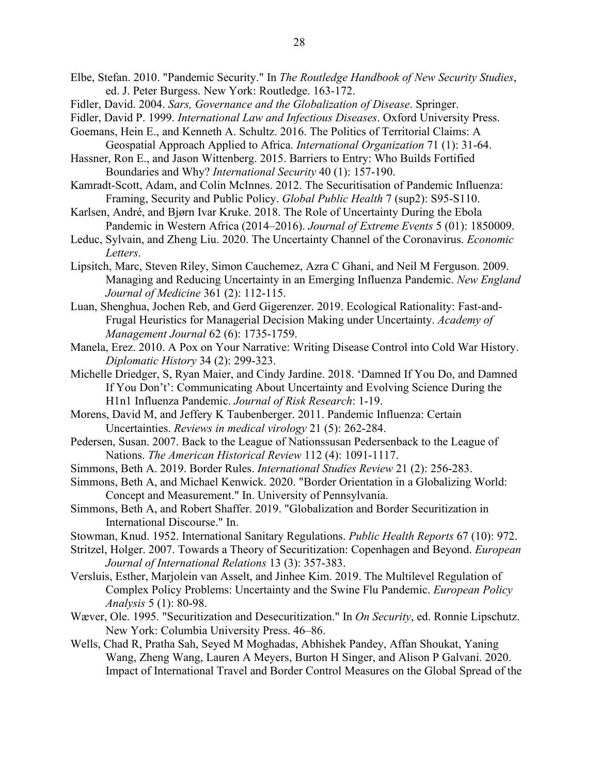- Elbe, Stefan. 2010. "Pandemic Security." In *The Routledge Handbook of New Security Studies*, ed. J. Peter Burgess. New York: Routledge. 163-172.
- Fidler, David. 2004. *Sars, Governance and the Globalization of Disease*. Springer.
- Fidler, David P. 1999. *International Law and Infectious Diseases*. Oxford University Press.
- Goemans, Hein E., and Kenneth A. Schultz. 2016. The Politics of Territorial Claims: A Geospatial Approach Applied to Africa. *International Organization* 71 (1): 31-64.
- Hassner, Ron E., and Jason Wittenberg. 2015. Barriers to Entry: Who Builds Fortified Boundaries and Why? *International Security* 40 (1): 157-190.
- Kamradt-Scott, Adam, and Colin McInnes. 2012. The Securitisation of Pandemic Influenza: Framing, Security and Public Policy. *Global Public Health* 7 (sup2): S95-S110.
- Karlsen, André, and Bjørn Ivar Kruke. 2018. The Role of Uncertainty During the Ebola Pandemic in Western Africa (2014–2016). *Journal of Extreme Events* 5 (01): 1850009.
- Leduc, Sylvain, and Zheng Liu. 2020. The Uncertainty Channel of the Coronavirus. *Economic Letters*.
- Lipsitch, Marc, Steven Riley, Simon Cauchemez, Azra C Ghani, and Neil M Ferguson. 2009. Managing and Reducing Uncertainty in an Emerging Influenza Pandemic. *New England Journal of Medicine* 361 (2): 112-115.
- Luan, Shenghua, Jochen Reb, and Gerd Gigerenzer. 2019. Ecological Rationality: Fast-and-Frugal Heuristics for Managerial Decision Making under Uncertainty. *Academy of Management Journal* 62 (6): 1735-1759.
- Manela, Erez. 2010. A Pox on Your Narrative: Writing Disease Control into Cold War History. *Diplomatic History* 34 (2): 299-323.
- Michelle Driedger, S, Ryan Maier, and Cindy Jardine. 2018. 'Damned If You Do, and Damned If You Don't': Communicating About Uncertainty and Evolving Science During the H1n1 Influenza Pandemic. *Journal of Risk Research*: 1-19.
- Morens, David M, and Jeffery K Taubenberger. 2011. Pandemic Influenza: Certain Uncertainties. *Reviews in medical virology* 21 (5): 262-284.
- Pedersen, Susan. 2007. Back to the League of Nationssusan Pedersenback to the League of Nations. *The American Historical Review* 112 (4): 1091-1117.
- Simmons, Beth A. 2019. Border Rules. *International Studies Review* 21 (2): 256-283.
- Simmons, Beth A, and Michael Kenwick. 2020. "Border Orientation in a Globalizing World: Concept and Measurement." In. University of Pennsylvania.
- Simmons, Beth A, and Robert Shaffer. 2019. "Globalization and Border Securitization in International Discourse." In.
- Stowman, Knud. 1952. International Sanitary Regulations. *Public Health Reports* 67 (10): 972.
- Stritzel, Holger. 2007. Towards a Theory of Securitization: Copenhagen and Beyond. *European Journal of International Relations* 13 (3): 357-383.
- Versluis, Esther, Marjolein van Asselt, and Jinhee Kim. 2019. The Multilevel Regulation of Complex Policy Problems: Uncertainty and the Swine Flu Pandemic. *European Policy Analysis* 5 (1): 80-98.
- Wæver, Ole. 1995. "Securitization and Desecuritization." In *On Security*, ed. Ronnie Lipschutz. New York: Columbia University Press. 46–86.
- Wells, Chad R, Pratha Sah, Seyed M Moghadas, Abhishek Pandey, Affan Shoukat, Yaning Wang, Zheng Wang, Lauren A Meyers, Burton H Singer, and Alison P Galvani. 2020. Impact of International Travel and Border Control Measures on the Global Spread of the